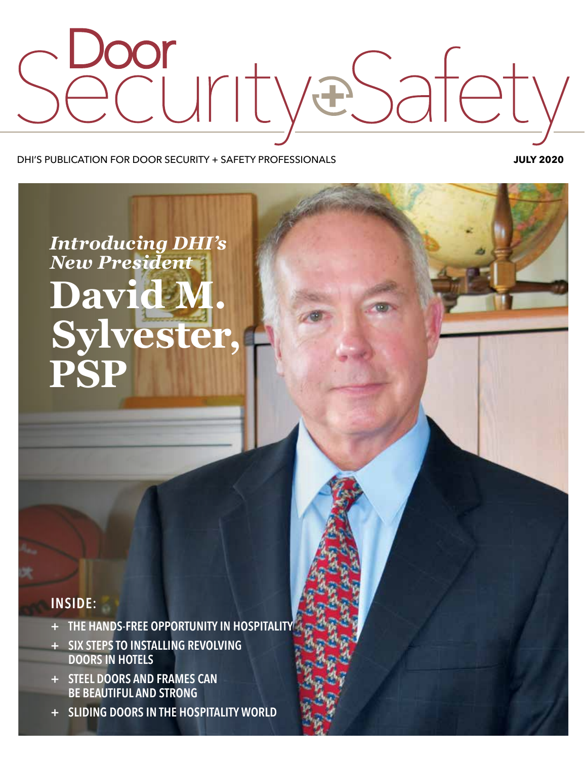

DHI'S PUBLICATION FOR DOOR SECURITY + SAFETY PROFESSIONALS **JULY 2020**

## *Introducing DHI's New President* **David M. Sylvester, PSP**

## **INSIDE:**

- **+ THE HANDS-FREE OPPORTUNITY IN HOSPITALITY**
- **+ SIX STEPS TO INSTALLING REVOLVING DOORS IN HOTELS**
- **+ STEEL DOORS AND FRAMES CAN BE BEAUTIFUL AND STRONG**
- **+ SLIDING DOORS IN THE HOSPITALITY WORLD**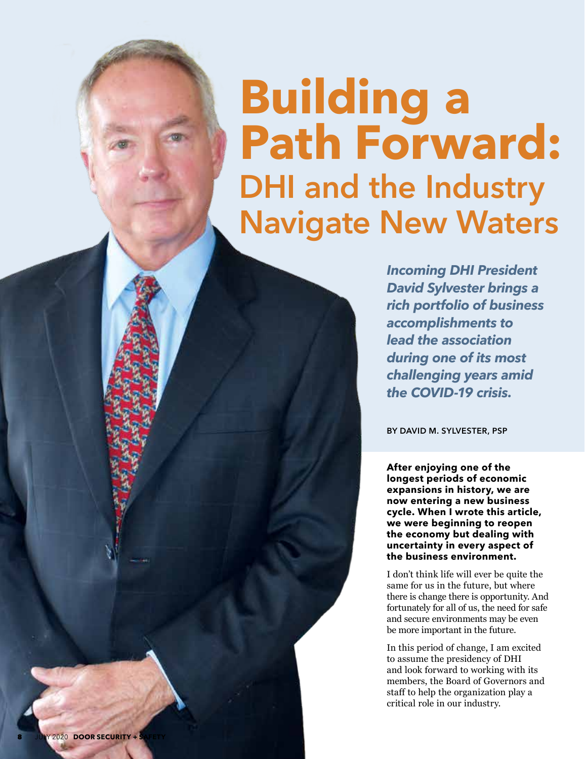# **Building a Path Forward: DHI and the Industry Navigate New Waters**

*Incoming DHI President David Sylvester brings a rich portfolio of business accomplishments to lead the association during one of its most challenging years amid the COVID-19 crisis.*

**BY DAVID M. SYLVESTER, PSP**

**After enjoying one of the longest periods of economic expansions in history, we are now entering a new business cycle. When I wrote this article, we were beginning to reopen the economy but dealing with uncertainty in every aspect of the business environment.** 

I don't think life will ever be quite the same for us in the future, but where there is change there is opportunity. And fortunately for all of us, the need for safe and secure environments may be even be more important in the future.

In this period of change, I am excited to assume the presidency of DHI and look forward to working with its members, the Board of Governors and staff to help the organization play a critical role in our industry.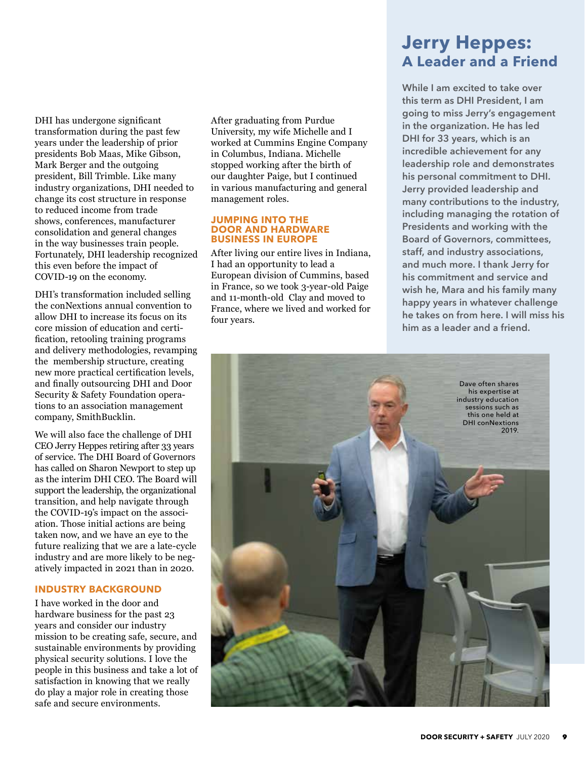DHI has undergone significant transformation during the past few years under the leadership of prior presidents Bob Maas, Mike Gibson, Mark Berger and the outgoing president, Bill Trimble. Like many industry organizations, DHI needed to change its cost structure in response to reduced income from trade shows, conferences, manufacturer consolidation and general changes in the way businesses train people. Fortunately, DHI leadership recognized this even before the impact of COVID-19 on the economy.

DHI's transformation included selling the conNextions annual convention to allow DHI to increase its focus on its core mission of education and certification, retooling training programs and delivery methodologies, revamping the membership structure, creating new more practical certification levels, and finally outsourcing DHI and Door Security & Safety Foundation operations to an association management company, SmithBucklin.

We will also face the challenge of DHI CEO Jerry Heppes retiring after 33 years of service. The DHI Board of Governors has called on Sharon Newport to step up as the interim DHI CEO. The Board will support the leadership, the organizational transition, and help navigate through the COVID-19's impact on the association. Those initial actions are being taken now, and we have an eye to the future realizing that we are a late-cycle industry and are more likely to be negatively impacted in 2021 than in 2020.

#### **INDUSTRY BACKGROUND**

I have worked in the door and hardware business for the past 23 years and consider our industry mission to be creating safe, secure, and sustainable environments by providing physical security solutions. I love the people in this business and take a lot of satisfaction in knowing that we really do play a major role in creating those safe and secure environments.

After graduating from Purdue University, my wife Michelle and I worked at Cummins Engine Company in Columbus, Indiana. Michelle stopped working after the birth of our daughter Paige, but I continued in various manufacturing and general management roles.

#### **JUMPING INTO THE DOOR AND HARDWARE BUSINESS IN EUROPE**

After living our entire lives in Indiana, I had an opportunity to lead a European division of Cummins, based in France, so we took 3-year-old Paige and 11-month-old Clay and moved to France, where we lived and worked for four years.

## **Jerry Heppes: A Leader and a Friend**

**While I am excited to take over this term as DHI President, I am going to miss Jerry's engagement in the organization. He has led DHI for 33 years, which is an incredible achievement for any leadership role and demonstrates his personal commitment to DHI. Jerry provided leadership and many contributions to the industry, including managing the rotation of Presidents and working with the Board of Governors, committees, staff, and industry associations, and much more. I thank Jerry for his commitment and service and wish he, Mara and his family many happy years in whatever challenge he takes on from here. I will miss his him as a leader and a friend.** 

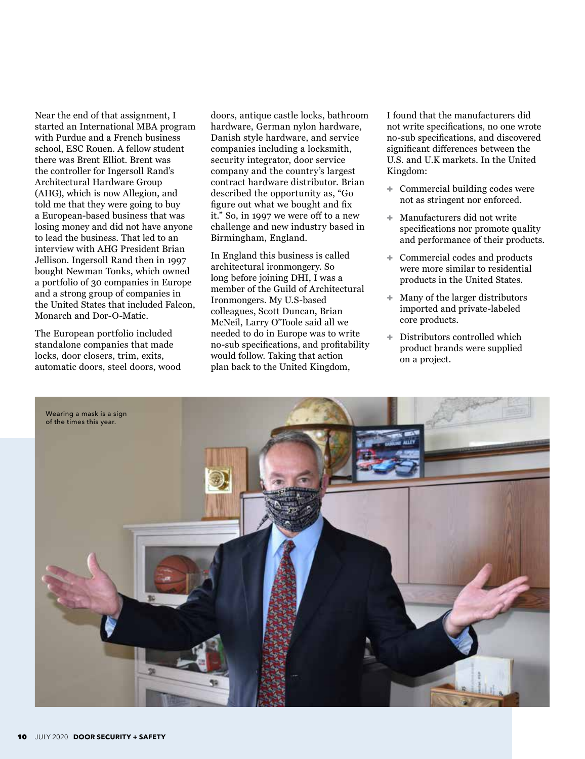Near the end of that assignment, I started an International MBA program with Purdue and a French business school, ESC Rouen. A fellow student there was Brent Elliot. Brent was the controller for Ingersoll Rand's Architectural Hardware Group (AHG), which is now Allegion, and told me that they were going to buy a European-based business that was losing money and did not have anyone to lead the business. That led to an interview with AHG President Brian Jellison. Ingersoll Rand then in 1997 bought Newman Tonks, which owned a portfolio of 30 companies in Europe and a strong group of companies in the United States that included Falcon, Monarch and Dor-O-Matic.

The European portfolio included standalone companies that made locks, door closers, trim, exits, automatic doors, steel doors, wood doors, antique castle locks, bathroom hardware, German nylon hardware, Danish style hardware, and service companies including a locksmith, security integrator, door service company and the country's largest contract hardware distributor. Brian described the opportunity as, "Go figure out what we bought and fix it." So, in 1997 we were off to a new challenge and new industry based in Birmingham, England.

In England this business is called architectural ironmongery. So long before joining DHI, I was a member of the Guild of Architectural Ironmongers. My U.S-based colleagues, Scott Duncan, Brian McNeil, Larry O'Toole said all we needed to do in Europe was to write no-sub specifications, and profitability would follow. Taking that action plan back to the United Kingdom,

I found that the manufacturers did not write specifications, no one wrote no-sub specifications, and discovered significant differences between the U.S. and U.K markets. In the United Kingdom:

- + Commercial building codes were not as stringent nor enforced.
- + Manufacturers did not write specifications nor promote quality and performance of their products.
- + Commercial codes and products were more similar to residential products in the United States.
- + Many of the larger distributors imported and private-labeled core products.
- + Distributors controlled which product brands were supplied on a project.

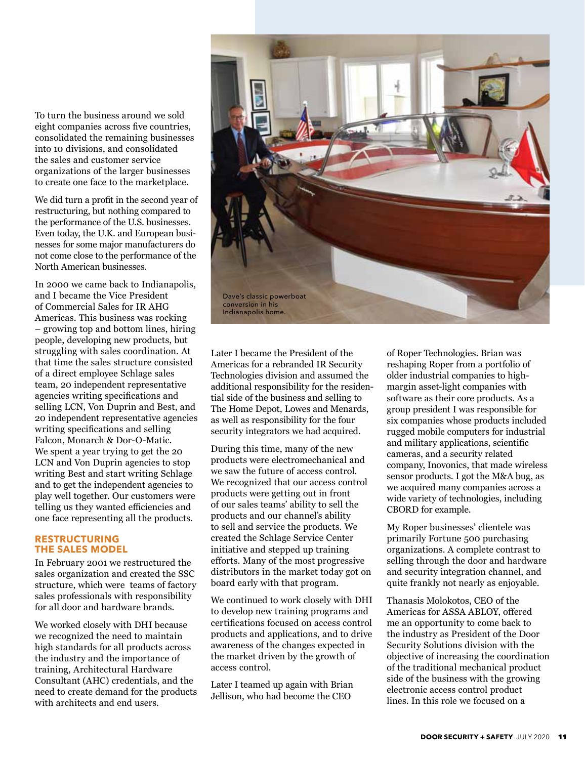To turn the business around we sold eight companies across five countries, consolidated the remaining businesses into 10 divisions, and consolidated the sales and customer service organizations of the larger businesses to create one face to the marketplace.

We did turn a profit in the second year of restructuring, but nothing compared to the performance of the U.S. businesses. Even today, the U.K. and European businesses for some major manufacturers do not come close to the performance of the North American businesses.

In 2000 we came back to Indianapolis, and I became the Vice President of Commercial Sales for IR AHG Americas. This business was rocking – growing top and bottom lines, hiring people, developing new products, but struggling with sales coordination. At that time the sales structure consisted of a direct employee Schlage sales team, 20 independent representative agencies writing specifications and selling LCN, Von Duprin and Best, and 20 independent representative agencies writing specifications and selling Falcon, Monarch & Dor-O-Matic. We spent a year trying to get the 20 LCN and Von Duprin agencies to stop writing Best and start writing Schlage and to get the independent agencies to play well together. Our customers were telling us they wanted efficiencies and one face representing all the products.

#### **RESTRUCTURING THE SALES MODEL**

In February 2001 we restructured the sales organization and created the SSC structure, which were teams of factory sales professionals with responsibility for all door and hardware brands.

We worked closely with DHI because we recognized the need to maintain high standards for all products across the industry and the importance of training, Architectural Hardware Consultant (AHC) credentials, and the need to create demand for the products with architects and end users.



Later I became the President of the Americas for a rebranded IR Security Technologies division and assumed the additional responsibility for the residential side of the business and selling to The Home Depot, Lowes and Menards, as well as responsibility for the four security integrators we had acquired.

During this time, many of the new products were electromechanical and we saw the future of access control. We recognized that our access control products were getting out in front of our sales teams' ability to sell the products and our channel's ability to sell and service the products. We created the Schlage Service Center initiative and stepped up training efforts. Many of the most progressive distributors in the market today got on board early with that program.

We continued to work closely with DHI to develop new training programs and certifications focused on access control products and applications, and to drive awareness of the changes expected in the market driven by the growth of access control.

Later I teamed up again with Brian Jellison, who had become the CEO

of Roper Technologies. Brian was reshaping Roper from a portfolio of older industrial companies to highmargin asset-light companies with software as their core products. As a group president I was responsible for six companies whose products included rugged mobile computers for industrial and military applications, scientific cameras, and a security related company, Inovonics, that made wireless sensor products. I got the M&A bug, as we acquired many companies across a wide variety of technologies, including CBORD for example.

My Roper businesses' clientele was primarily Fortune 500 purchasing organizations. A complete contrast to selling through the door and hardware and security integration channel, and quite frankly not nearly as enjoyable.

Thanasis Molokotos, CEO of the Americas for ASSA ABLOY, offered me an opportunity to come back to the industry as President of the Door Security Solutions division with the objective of increasing the coordination of the traditional mechanical product side of the business with the growing electronic access control product lines. In this role we focused on a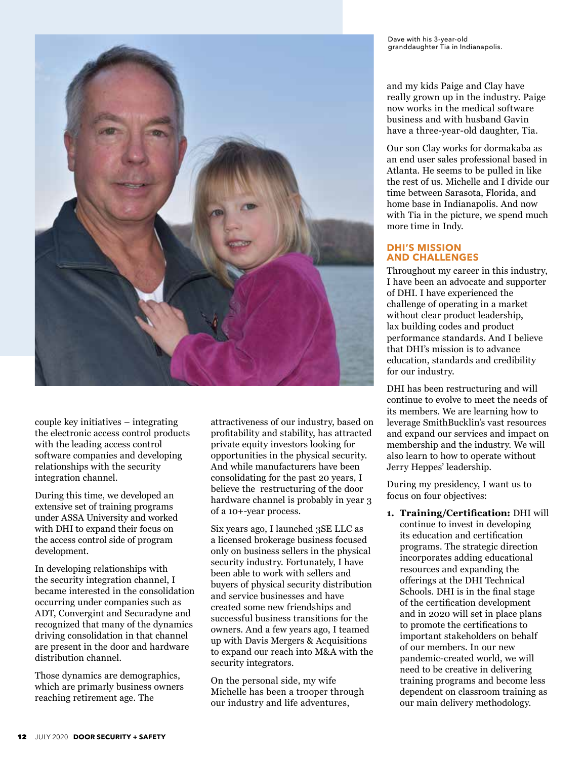

couple key initiatives – integrating the electronic access control products with the leading access control software companies and developing relationships with the security integration channel.

During this time, we developed an extensive set of training programs under ASSA University and worked with DHI to expand their focus on the access control side of program development.

In developing relationships with the security integration channel, I became interested in the consolidation occurring under companies such as ADT, Convergint and Securadyne and recognized that many of the dynamics driving consolidation in that channel are present in the door and hardware distribution channel.

Those dynamics are demographics, which are primarly business owners reaching retirement age. The

attractiveness of our industry, based on profitability and stability, has attracted private equity investors looking for opportunities in the physical security. And while manufacturers have been consolidating for the past 20 years, I believe the restructuring of the door hardware channel is probably in year 3 of a 10+-year process.

Six years ago, I launched 3SE LLC as a licensed brokerage business focused only on business sellers in the physical security industry. Fortunately, I have been able to work with sellers and buyers of physical security distribution and service businesses and have created some new friendships and successful business transitions for the owners. And a few years ago, I teamed up with Davis Mergers & Acquisitions to expand our reach into M&A with the security integrators.

On the personal side, my wife Michelle has been a trooper through our industry and life adventures,

and my kids Paige and Clay have really grown up in the industry. Paige now works in the medical software business and with husband Gavin have a three-year-old daughter, Tia.

Our son Clay works for dormakaba as an end user sales professional based in Atlanta. He seems to be pulled in like the rest of us. Michelle and I divide our time between Sarasota, Florida, and home base in Indianapolis. And now with Tia in the picture, we spend much more time in Indy.

#### **DHI'S MISSION AND CHALLENGES**

Throughout my career in this industry, I have been an advocate and supporter of DHI. I have experienced the challenge of operating in a market without clear product leadership, lax building codes and product performance standards. And I believe that DHI's mission is to advance education, standards and credibility for our industry.

DHI has been restructuring and will continue to evolve to meet the needs of its members. We are learning how to leverage SmithBucklin's vast resources and expand our services and impact on membership and the industry. We will also learn to how to operate without Jerry Heppes' leadership.

During my presidency, I want us to focus on four objectives:

**1. Training/Certification:** DHI will continue to invest in developing its education and certification programs. The strategic direction incorporates adding educational resources and expanding the offerings at the DHI Technical Schools. DHI is in the final stage of the certification development and in 2020 will set in place plans to promote the certifications to important stakeholders on behalf of our members. In our new pandemic-created world, we will need to be creative in delivering training programs and become less dependent on classroom training as our main delivery methodology.